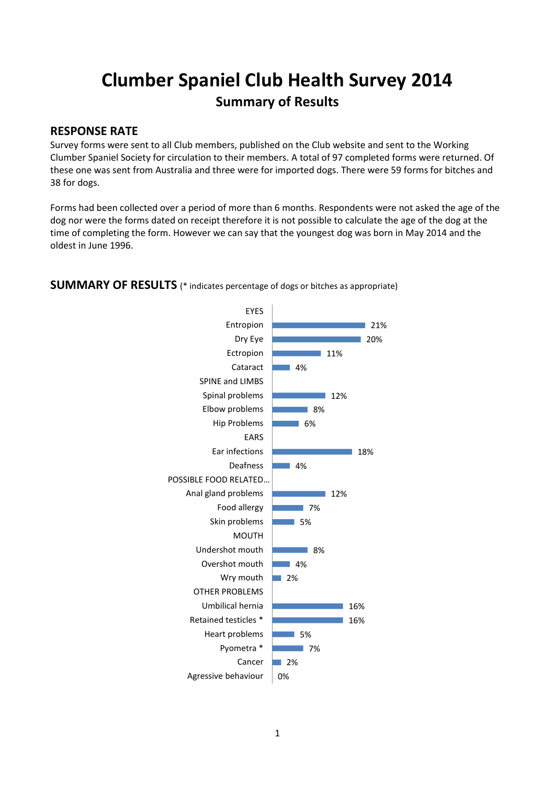# **Clumber Spaniel Club Health Survey 2014 Summary of Results**

#### **RESPONSE RATE**

Survey forms were sent to all Club members, published on the Club website and sent to the Working Clumber Spaniel Society for circulation to their members. A total of 97 completed forms were returned. Of these one was sent from Australia and three were for imported dogs. There were 59 forms for bitches and 38 for dogs.

Forms had been collected over a period of more than 6 months. Respondents were not asked the age of the dog nor were the forms dated on receipt therefore it is not possible to calculate the age of the dog at the time of completing the form. However we can say that the youngest dog was born in May 2014 and the oldest in June 1996.



#### **SUMMARY OF RESULTS** (\* indicates percentage of dogs or bitches as appropriate)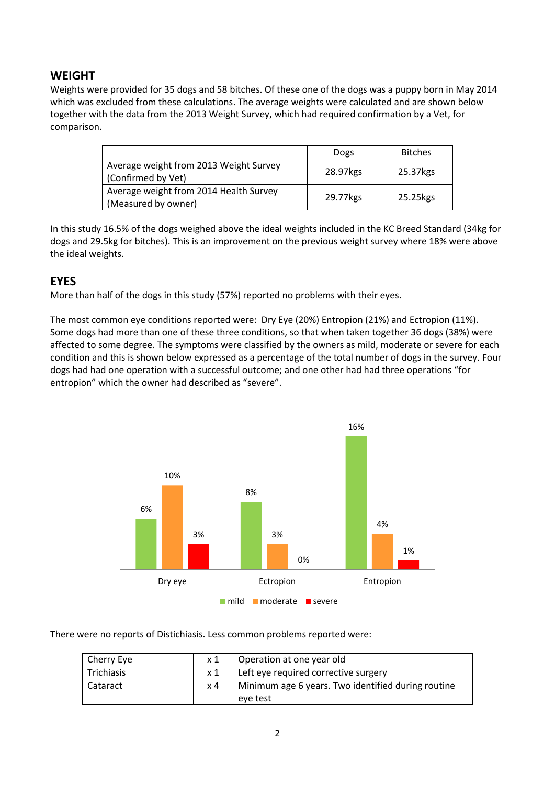## **WEIGHT**

Weights were provided for 35 dogs and 58 bitches. Of these one of the dogs was a puppy born in May 2014 which was excluded from these calculations. The average weights were calculated and are shown below together with the data from the 2013 Weight Survey, which had required confirmation by a Vet, for comparison.

|                                                               | Dogs       | <b>Bitches</b> |
|---------------------------------------------------------------|------------|----------------|
| Average weight from 2013 Weight Survey<br>(Confirmed by Vet)  | 28.97 kgs  | 25.37kgs       |
| Average weight from 2014 Health Survey<br>(Measured by owner) | 29.77 kg s | 25.25 kgs      |

In this study 16.5% of the dogs weighed above the ideal weights included in the KC Breed Standard (34kg for dogs and 29.5kg for bitches). This is an improvement on the previous weight survey where 18% were above the ideal weights.

## **EYES**

More than half of the dogs in this study (57%) reported no problems with their eyes.

The most common eye conditions reported were: Dry Eye (20%) Entropion (21%) and Ectropion (11%). Some dogs had more than one of these three conditions, so that when taken together 36 dogs (38%) were affected to some degree. The symptoms were classified by the owners as mild, moderate or severe for each condition and this is shown below expressed as a percentage of the total number of dogs in the survey. Four dogs had had one operation with a successful outcome; and one other had had three operations "for entropion" which the owner had described as "severe".



There were no reports of Distichiasis. Less common problems reported were:

| Cherry Eye | $\times 1$ | Operation at one year old                          |
|------------|------------|----------------------------------------------------|
| Trichiasis | x 1        | Left eye required corrective surgery               |
| l Cataract | $\times 4$ | Minimum age 6 years. Two identified during routine |
|            |            | eve test                                           |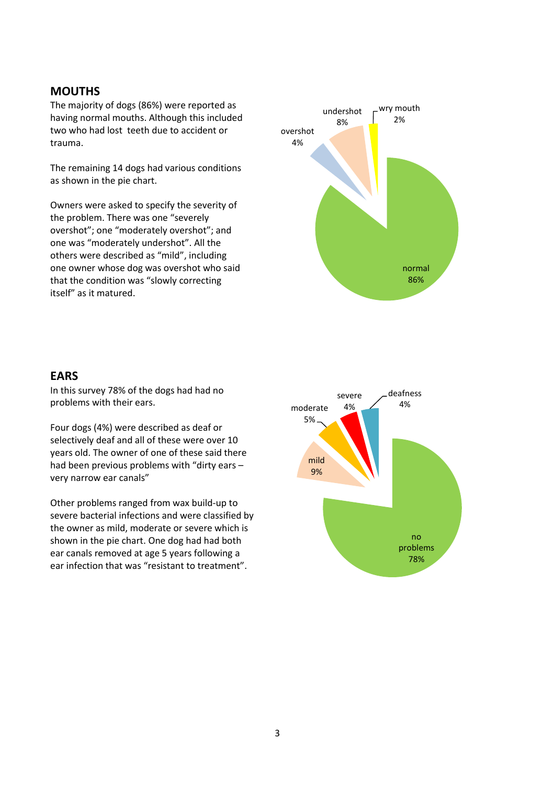#### **MOUTHS**

The majority of dogs (86%) were reported as having normal mouths. Although this included two who had lost teeth due to accident or trauma.

The remaining 14 dogs had various conditions as shown in the pie chart.

Owners were asked to specify the severity of the problem. There was one "severely overshot"; one "moderately overshot"; and one was "moderately undershot". All the others were described as "mild", including one owner whose dog was overshot who said that the condition was "slowly correcting itself" as it matured.



#### **EARS**

In this survey 78% of the dogs had had no problems with their ears.

Four dogs (4%) were described as deaf or selectively deaf and all of these were over 10 years old. The owner of one of these said there had been previous problems with "dirty ears – very narrow ear canals"

Other problems ranged from wax build-up to severe bacterial infections and were classified by the owner as mild, moderate or severe which is shown in the pie chart. One dog had had both ear canals removed at age 5 years following a ear infection that was "resistant to treatment".

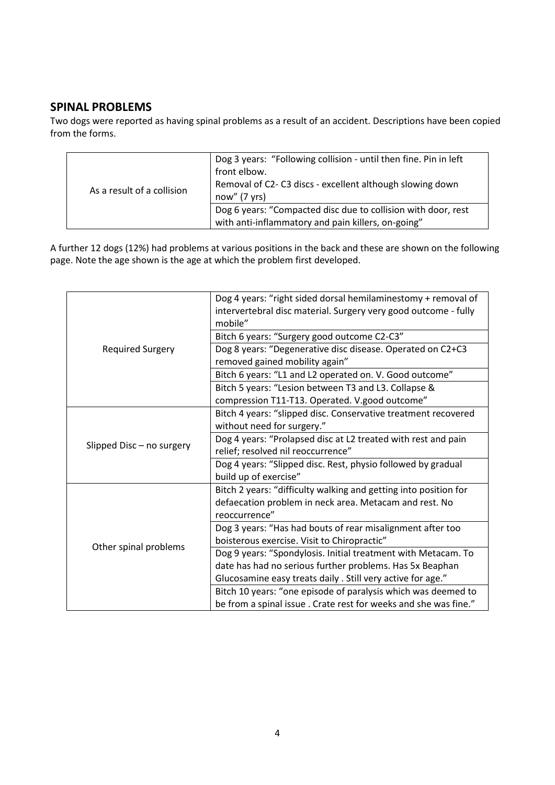# **SPINAL PROBLEMS**

Two dogs were reported as having spinal problems as a result of an accident. Descriptions have been copied from the forms.

| As a result of a collision | Dog 3 years: "Following collision - until then fine. Pin in left<br>front elbow.<br>Removal of C2-C3 discs - excellent although slowing down<br>now''(7 yrs) |
|----------------------------|--------------------------------------------------------------------------------------------------------------------------------------------------------------|
|                            | Dog 6 years: "Compacted disc due to collision with door, rest<br>with anti-inflammatory and pain killers, on-going"                                          |

A further 12 dogs (12%) had problems at various positions in the back and these are shown on the following page. Note the age shown is the age at which the problem first developed.

| <b>Required Surgery</b>   | Dog 4 years: "right sided dorsal hemilaminestomy + removal of    |
|---------------------------|------------------------------------------------------------------|
|                           | intervertebral disc material. Surgery very good outcome - fully  |
|                           | mobile"                                                          |
|                           | Bitch 6 years: "Surgery good outcome C2-C3"                      |
|                           | Dog 8 years: "Degenerative disc disease. Operated on C2+C3       |
|                           | removed gained mobility again"                                   |
|                           | Bitch 6 years: "L1 and L2 operated on. V. Good outcome"          |
|                           | Bitch 5 years: "Lesion between T3 and L3. Collapse &             |
|                           | compression T11-T13. Operated. V.good outcome"                   |
| Slipped Disc - no surgery | Bitch 4 years: "slipped disc. Conservative treatment recovered   |
|                           | without need for surgery."                                       |
|                           | Dog 4 years: "Prolapsed disc at L2 treated with rest and pain    |
|                           | relief; resolved nil reoccurrence"                               |
|                           | Dog 4 years: "Slipped disc. Rest, physio followed by gradual     |
|                           | build up of exercise"                                            |
| Other spinal problems     | Bitch 2 years: "difficulty walking and getting into position for |
|                           | defaecation problem in neck area. Metacam and rest. No           |
|                           | reoccurrence"                                                    |
|                           | Dog 3 years: "Has had bouts of rear misalignment after too       |
|                           | boisterous exercise. Visit to Chiropractic"                      |
|                           | Dog 9 years: "Spondylosis. Initial treatment with Metacam. To    |
|                           | date has had no serious further problems. Has 5x Beaphan         |
|                           | Glucosamine easy treats daily . Still very active for age."      |
|                           | Bitch 10 years: "one episode of paralysis which was deemed to    |
|                           | be from a spinal issue. Crate rest for weeks and she was fine."  |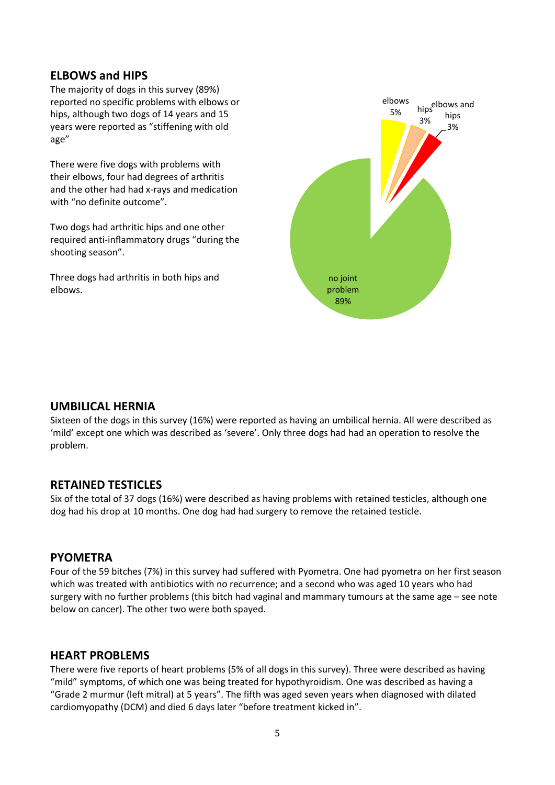### **ELBOWS and HIPS**

The majority of dogs in this survey (89%) reported no specific problems with elbows or hips, although two dogs of 14 years and 15 years were reported as "stiffening with old age"

There were five dogs with problems with their elbows, four had degrees of arthritis and the other had had x-rays and medication with "no definite outcome".

Two dogs had arthritic hips and one other required anti-inflammatory drugs "during the shooting season".

Three dogs had arthritis in both hips and elbows.



#### **UMBILICAL HERNIA**

Sixteen of the dogs in this survey (16%) were reported as having an umbilical hernia. All were described as 'mild' except one which was described as 'severe'. Only three dogs had had an operation to resolve the problem.

#### **RETAINED TESTICLES**

Six of the total of 37 dogs (16%) were described as having problems with retained testicles, although one dog had his drop at 10 months. One dog had had surgery to remove the retained testicle.

#### **PYOMETRA**

Four of the 59 bitches (7%) in this survey had suffered with Pyometra. One had pyometra on her first season which was treated with antibiotics with no recurrence; and a second who was aged 10 years who had surgery with no further problems (this bitch had vaginal and mammary tumours at the same age – see note below on cancer). The other two were both spayed.

#### **HEART PROBLEMS**

There were five reports of heart problems (5% of all dogs in this survey). Three were described as having "mild" symptoms, of which one was being treated for hypothyroidism. One was described as having a "Grade 2 murmur (left mitral) at 5 years". The fifth was aged seven years when diagnosed with dilated cardiomyopathy (DCM) and died 6 days later "before treatment kicked in".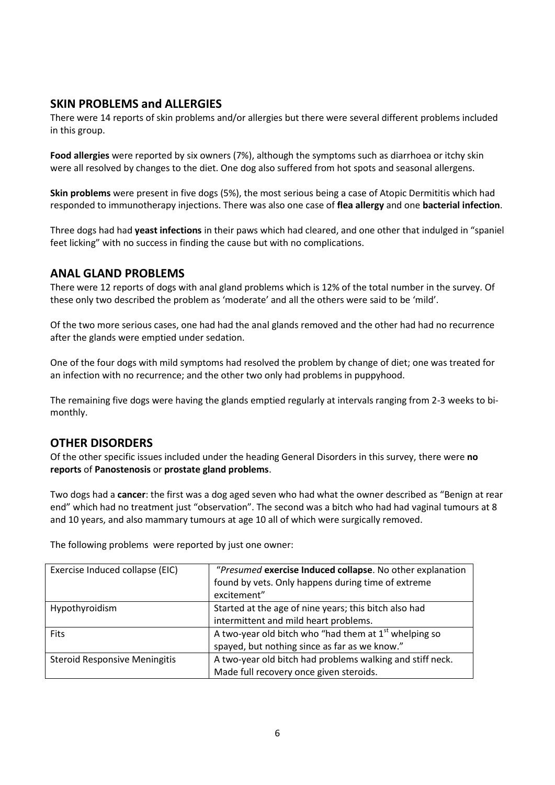## **SKIN PROBLEMS and ALLERGIES**

There were 14 reports of skin problems and/or allergies but there were several different problems included in this group.

**Food allergies** were reported by six owners (7%), although the symptoms such as diarrhoea or itchy skin were all resolved by changes to the diet. One dog also suffered from hot spots and seasonal allergens.

**Skin problems** were present in five dogs (5%), the most serious being a case of Atopic Dermititis which had responded to immunotherapy injections. There was also one case of **flea allergy** and one **bacterial infection**.

Three dogs had had **yeast infections** in their paws which had cleared, and one other that indulged in "spaniel feet licking" with no success in finding the cause but with no complications.

## **ANAL GLAND PROBLEMS**

There were 12 reports of dogs with anal gland problems which is 12% of the total number in the survey. Of these only two described the problem as 'moderate' and all the others were said to be 'mild'.

Of the two more serious cases, one had had the anal glands removed and the other had had no recurrence after the glands were emptied under sedation.

One of the four dogs with mild symptoms had resolved the problem by change of diet; one was treated for an infection with no recurrence; and the other two only had problems in puppyhood.

The remaining five dogs were having the glands emptied regularly at intervals ranging from 2-3 weeks to bimonthly.

## **OTHER DISORDERS**

Of the other specific issues included under the heading General Disorders in this survey, there were **no reports** of **Panostenosis** or **prostate gland problems**.

Two dogs had a **cancer**: the first was a dog aged seven who had what the owner described as "Benign at rear end" which had no treatment just "observation". The second was a bitch who had had vaginal tumours at 8 and 10 years, and also mammary tumours at age 10 all of which were surgically removed.

| Exercise Induced collapse (EIC)      | "Presumed exercise Induced collapse. No other explanation |
|--------------------------------------|-----------------------------------------------------------|
|                                      | found by vets. Only happens during time of extreme        |
|                                      | excitement"                                               |
| Hypothyroidism                       | Started at the age of nine years; this bitch also had     |
|                                      | intermittent and mild heart problems.                     |
| <b>Fits</b>                          | A two-year old bitch who "had them at $1st$ whelping so   |
|                                      | spayed, but nothing since as far as we know."             |
| <b>Steroid Responsive Meningitis</b> | A two-year old bitch had problems walking and stiff neck. |
|                                      | Made full recovery once given steroids.                   |

The following problems were reported by just one owner: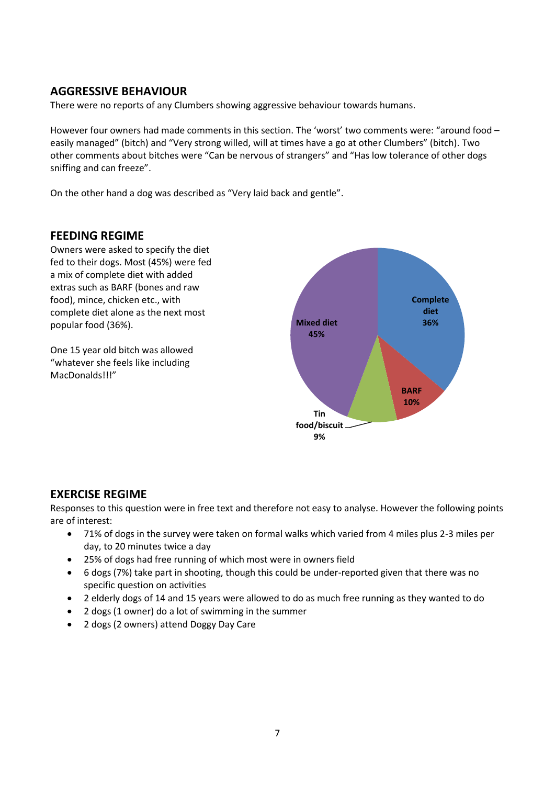# **AGGRESSIVE BEHAVIOUR**

There were no reports of any Clumbers showing aggressive behaviour towards humans.

However four owners had made comments in this section. The 'worst' two comments were: "around food – easily managed" (bitch) and "Very strong willed, will at times have a go at other Clumbers" (bitch). Two other comments about bitches were "Can be nervous of strangers" and "Has low tolerance of other dogs sniffing and can freeze".

On the other hand a dog was described as "Very laid back and gentle".

## **FEEDING REGIME**

Owners were asked to specify the diet fed to their dogs. Most (45%) were fed a mix of complete diet with added extras such as BARF (bones and raw food), mince, chicken etc., with complete diet alone as the next most popular food (36%).

One 15 year old bitch was allowed "whatever she feels like including MacDonalds!!!"



## **EXERCISE REGIME**

Responses to this question were in free text and therefore not easy to analyse. However the following points are of interest:

- 71% of dogs in the survey were taken on formal walks which varied from 4 miles plus 2-3 miles per day, to 20 minutes twice a day
- 25% of dogs had free running of which most were in owners field
- 6 dogs (7%) take part in shooting, though this could be under-reported given that there was no specific question on activities
- 2 elderly dogs of 14 and 15 years were allowed to do as much free running as they wanted to do
- 2 dogs (1 owner) do a lot of swimming in the summer
- 2 dogs (2 owners) attend Doggy Day Care